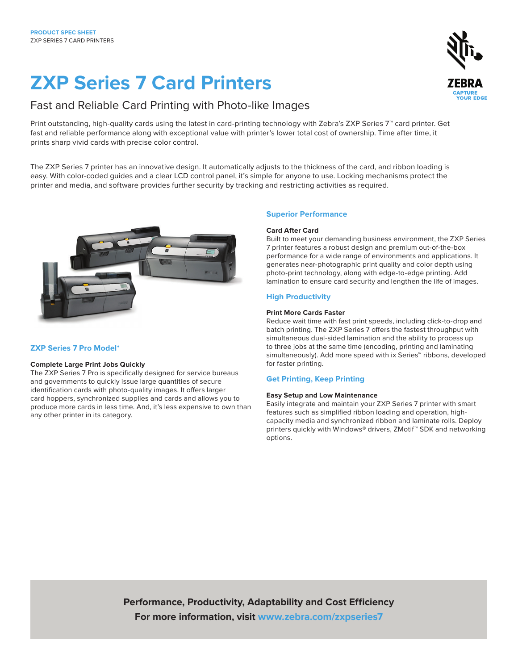# **ZXP Series 7 Card Printers**

## Fast and Reliable Card Printing with Photo-like Images

Print outstanding, high-quality cards using the latest in card-printing technology with Zebra's ZXP Series 7™ card printer. Get fast and reliable performance along with exceptional value with printer's lower total cost of ownership. Time after time, it prints sharp vivid cards with precise color control.

The ZXP Series 7 printer has an innovative design. It automatically adjusts to the thickness of the card, and ribbon loading is easy. With color-coded guides and a clear LCD control panel, it's simple for anyone to use. Locking mechanisms protect the printer and media, and software provides further security by tracking and restricting activities as required.



## **ZXP Series 7 Pro Model\***

## **Complete Large Print Jobs Quickly**

The ZXP Series 7 Pro is specifically designed for service bureaus and governments to quickly issue large quantities of secure identification cards with photo-quality images. It offers larger card hoppers, synchronized supplies and cards and allows you to produce more cards in less time. And, it's less expensive to own than any other printer in its category.

## **Superior Performance**

## **Card After Card**

Built to meet your demanding business environment, the ZXP Series 7 printer features a robust design and premium out-of-the-box performance for a wide range of environments and applications. It generates near-photographic print quality and color depth using photo-print technology, along with edge-to-edge printing. Add lamination to ensure card security and lengthen the life of images.

## **High Productivity**

## **Print More Cards Faster**

Reduce wait time with fast print speeds, including click-to-drop and batch printing. The ZXP Series 7 offers the fastest throughput with simultaneous dual-sided lamination and the ability to process up to three jobs at the same time (encoding, printing and laminating simultaneously). Add more speed with ix Series™ ribbons, developed for faster printing.

## **Get Printing, Keep Printing**

## **Easy Setup and Low Maintenance**

Easily integrate and maintain your ZXP Series 7 printer with smart features such as simplified ribbon loading and operation, highcapacity media and synchronized ribbon and laminate rolls. Deploy printers quickly with Windows® drivers, ZMotif™ SDK and networking options.

**Performance, Productivity, Adaptability and Cost Efficiency For more information, visit www.zebra.com/zxpseries7**

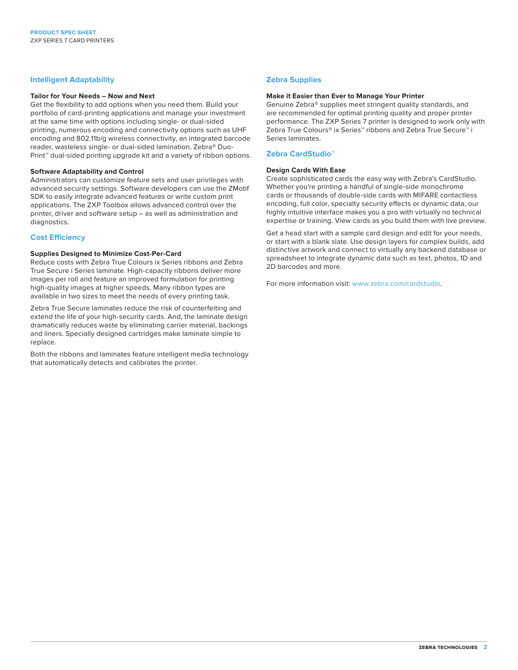## **Intelligent Adaptability**

#### **Tailor for Your Needs – Now and Next**

Get the flexibility to add options when you need them. Build your portfolio of card-printing applications and manage your investment at the same time with options including single- or dual-sided printing, numerous encoding and connectivity options such as UHF encoding and 802.11b/g wireless connectivity, an integrated barcode reader, wasteless single- or dual-sided lamination, Zebra® Duo-Print<sup>™</sup> dual-sided printing upgrade kit and a variety of ribbon options.

#### **Software Adaptability and Control**

Administrators can customize feature sets and user privileges with advanced security settings. Software developers can use the ZMotif SDK to easily integrate advanced features or write custom print applications. The ZXP Toolbox allows advanced control over the printer, driver and software setup – as well as administration and diagnostics.

## **Cost Efficiency**

#### **Supplies Designed to Minimize Cost-Per-Card**

Reduce costs with Zebra True Colours ix Series ribbons and Zebra True Secure i Series laminate. High-capacity ribbons deliver more images per roll and feature an improved formulation for printing high-quality images at higher speeds. Many ribbon types are available in two sizes to meet the needs of every printing task.

Zebra True Secure laminates reduce the risk of counterfeiting and extend the life of your high-security cards. And, the laminate design dramatically reduces waste by eliminating carrier material, backings and liners. Specially designed cartridges make laminate simple to replace.

Both the ribbons and laminates feature intelligent media technology that automatically detects and calibrates the printer.

## **Zebra Supplies**

#### **Make it Easier than Ever to Manage Your Printer**

Genuine Zebra® supplies meet stringent quality standards, and are recommended for optimal printing quality and proper printer performance. The ZXP Series 7 printer is designed to work only with Zebra True Colours® ix Series™ ribbons and Zebra True Secure™ i Series laminates.

## **Zebra CardStudio™**

#### **Design Cards With Ease**

Create sophisticated cards the easy way with Zebra's CardStudio. Whether you're printing a handful of single-side monochrome cards or thousands of double-side cards with MIFARE contactless encoding, full color, specialty security effects or dynamic data, our highly intuitive interface makes you a pro with virtually no technical expertise or training. View cards as you build them with live preview.

Get a head start with a sample card design and edit for your needs, or start with a blank slate. Use design layers for complex builds, add distinctive artwork and connect to virtually any backend database or spreadsheet to integrate dynamic data such as text, photos, 1D and 2D barcodes and more.

For more information visit: www.zebra.com/cardstudio.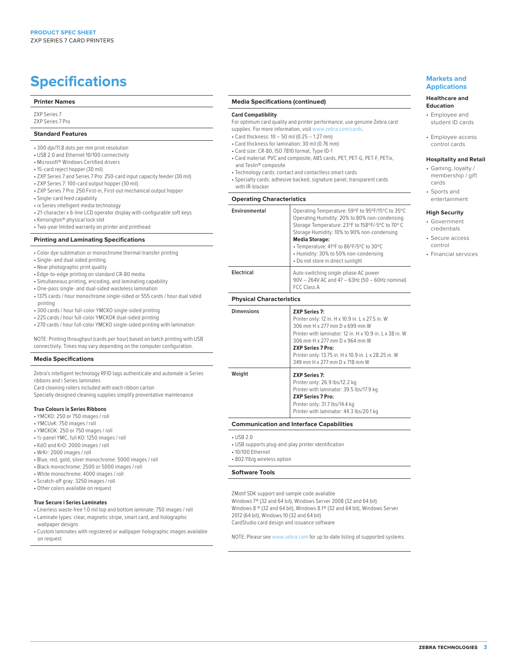## **Specifications Markets and Markets and**

#### **Printer Names**

ZXP Series 7 ZXP Series 7 Pro

#### **Standard Features**

- 300 dpi/11.8 dots per mm print resolution
- USB 2.0 and Ethernet 10/100 connectivity
- Microsoft® Windows Certified drivers
- 15-card reject hopper (30 mil)
- ZXP Series 7 and Series 7 Pro: 250-card input capacity feeder (30 mil)
- ZXP Series 7: 100-card output hopper (30 mil)
- ZXP Series 7 Pro: 250 First-in, First-out mechanical output hopper
- Single-card feed capability
- ix Series intelligent media technology
- 21-character x 6-line LCD operator display with configurable soft keys
- Kensington® physical lock slot
- Two-year limited warranty on printer and printhead

#### **Printing and Laminating Specifications**

- Color dye sublimation or monochrome thermal-transfer printing
- Single- and dual-sided printing
- Near photographic print quality
- Edge-to-edge printing on standard CR-80 media
- Simultaneous printing, encoding, and laminating capability
- One-pass single- and dual-sided wasteless lamination
- 1375 cards / hour monochrome single-sided or 555 cards / hour dual sided printing
- 300 cards / hour full-color YMCKO single-sided printing
- 225 cards / hour full-color YMCKOK dual-sided printing
- 270 cards / hour full-color YMCKO single-sided printing with lamination

NOTE: Printing throughput (cards per hour) based on batch printing with USB connectivity. Times may vary depending on the computer configuration.

#### **Media Specifications**

Zebra's intelligent technology RFID tags authenticate and automate ix Series ribbons and i Series laminates

Card cleaning rollers included with each ribbon carton Specially designed cleaning supplies simplify preventative maintenance

#### **True Colours ix Series Ribbons**

- YMCKO: 250 or 750 images / roll
- YMCUvK: 750 images / roll
- YMCKOK: 250 or 750 images / roll
- ½-panel YMC, full KO: 1250 images / roll
- KdO and KrO: 2000 images / roll
- WrKr: 2000 images / roll
- Blue, red, gold, silver monochrome: 5000 images / roll
- Black monochrome: 2500 or 5000 images / roll
- White monochrome: 4000 images / roll
- Scratch-off gray: 3250 images / roll
- Other colors available on request

#### **True Secure i Series Laminates**

- Linerless waste-free 1.0 mil top and bottom laminate: 750 images / roll • Laminate types: clear, magnetic stripe, smart card, and holographic
- wallpaper designs
- Custom laminates with registered or wallpaper holographic images available on request

#### **Media Specifications (continued)**

#### **Card Compatibility**

- For optimum card quality and printer performance, use genuine Zebra card supplies. For more information, visit www.zebra.com/cards.
- Card thickness: 10 50 mil (0.25 1.27 mm)
- Card thickness for lamination: 30 mil (0.76 mm)
- Card size: CR-80, ISO 7810 format, Type ID-1
- Card material: PVC and composite, ABS cards, PET, PET-G, PET-F, PETix, and Teslin® composite
- Technology cards: contact and contactless smart cards
- Specialty cards: adhesive backed, signature panel, transparent cards with IR-blocker

#### **Operating Characteristics**

**Environmenta** 

**Electrical** 

| ı | Operating Temperature: 59°F to 95°F/15°C to 35°C<br>Operating Humidity: 20% to 80% non-condensing<br>Storage Temperature: 23°F to 158°F/-5°C to 70°C<br>Storage Humidity: 10% to 90% non-condensing<br><b>Media Storage:</b><br>• Temperature: 41°F to 86°F/5°C to 30°C<br>• Humidity: 30% to 50% non-condensing<br>• Do not store in direct sunlight |  |
|---|-------------------------------------------------------------------------------------------------------------------------------------------------------------------------------------------------------------------------------------------------------------------------------------------------------------------------------------------------------|--|
|   | Auto-switching single-phase AC power<br>90V - 264V AC and 47 - 63Hz (50 - 60Hz nominal)<br><b>FCC Class A</b>                                                                                                                                                                                                                                         |  |
|   |                                                                                                                                                                                                                                                                                                                                                       |  |

#### **Physical Characteristics**

| <b>Dimensions</b> | <b>ZXP Series 7:</b><br>Printer only: 12 in. H x 10.9 in. L x 27.5 in. W<br>306 mm H x 277 mm D x 699 mm W<br>Printer with laminator: 12 in, H x 10.9 in, L x 38 in, W<br>306 mm H x 277 mm D x 964 mm W<br><b>ZXP Series 7 Pro:</b><br>Printer only: 13.75 in. H x 10.9 in. L x 28.25 in. W<br>349 mm H x 277 mm D x 718 mm W |
|-------------------|--------------------------------------------------------------------------------------------------------------------------------------------------------------------------------------------------------------------------------------------------------------------------------------------------------------------------------|
| Weight            | <b>ZXP Series 7:</b><br>Printer only: 26.9 lbs/12.2 kg<br>Printer with laminator: 39.5 lbs/17.9 kg<br><b>ZXP Series 7 Pro:</b><br>Printer only: 31.7 lbs/14.4 kg<br>Printer with laminator: 44.3 lbs/20.1 kg                                                                                                                   |

#### **Communication and Interface Capabilities**

- USB 2.0
- USB supports plug-and-play printer identification
- 10/100 Ethernet
- 802.11b/g wireless option

#### **Software Tools**

ZMotif SDK support and sample code available

Windows 7® (32 and 64 bit), Windows Server 2008 (32 and 64 bit) Windows 8 ® (32 and 64 bit), Windows 8.1® (32 and 64 bit), Windows Server 2012 (64 bit), Windows 10 (32 and 64 bit) CardStudio card design and issuance software

NOTE: Please see www.zebra.com for up to-date listing of supported systems.

## **Applications**

#### **Healthcare and Education**

- Employee and
- student ID cards • Employee access
- control cards

## **Hospitality and Retail**

- Gaming, loyalty / membership / gift cards
- Sports and entertainment

#### **High Security**

- Government credentials
- Secure access control
- Financial services